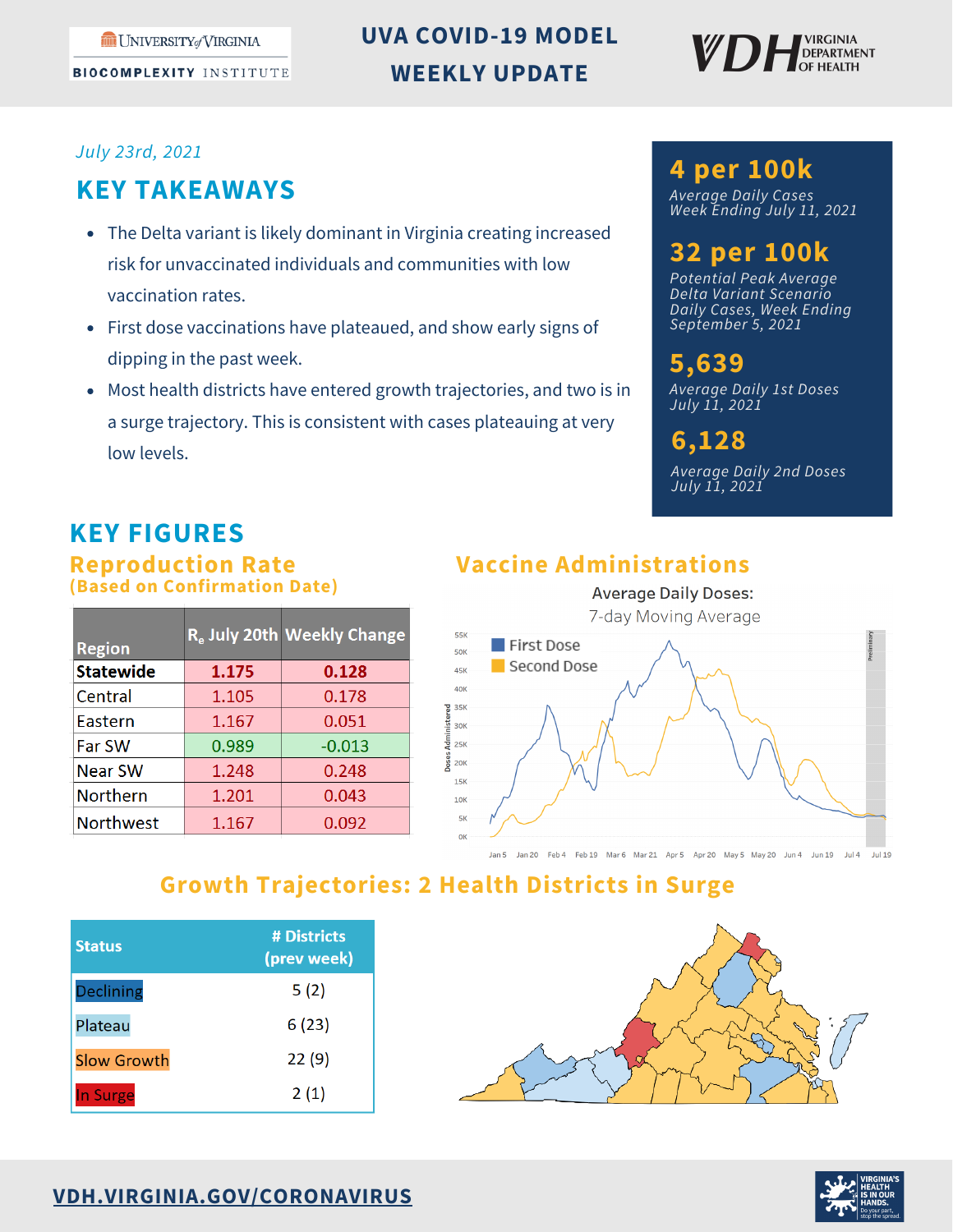**BIOCOMPLEXITY INSTITUTE** 

# **UVA COVID-19 MODEL WEEKLY UPDATE**



#### *July 23rd, 2021*

## **KEY TAKEAWAYS**

- The Delta variant is likely dominant in Virginia creating increased risk for unvaccinated individuals and communities with low vaccination rates.
- First dose vaccinations have plateaued, and show early signs of dipping in the past week.
- Most health districts have entered growth trajectories, and two is in a surge trajectory. This is consistent with cases plateauing at very low levels.

### **4 per 100k**

*Average Daily Cases Week Ending July 11, 2021*

# **32 per 100k**

*Potential Peak Average Delta Variant Scenario Daily Cases, Week Ending September 5, 2021*

**5,639** *Average Daily 1st Doses July 11, 2021*

# **6,128**

*Average Daily 2nd Doses July 11, 2021*

# **KEY FIGURES**

**Reproduction Rate (Based on Confirmation Date)**

| <b>Region</b>    |       | R. July 20th Weekly Change |
|------------------|-------|----------------------------|
| <b>Statewide</b> | 1.175 | 0.128                      |
| Central          | 1.105 | 0.178                      |
| Eastern          | 1.167 | 0.051                      |
| Far SW           | 0.989 | $-0.013$                   |
| <b>Near SW</b>   | 1.248 | 0.248                      |
| <b>Northern</b>  | 1.201 | 0.043                      |
| <b>Northwest</b> | 1.167 | 0.092                      |

# **Vaccine Administrations**



## **Growth Trajectories: 2 Health Districts in Surge**

| <b>Status</b>      | # Districts<br>(prev week) |
|--------------------|----------------------------|
| <b>Declining</b>   | 5(2)                       |
| Plateau            | 6(23)                      |
| <b>Slow Growth</b> | 22(9)                      |
| In Surge           | 2(1)                       |





#### **[VDH.VIRGINIA.GOV/CORONAVIRUS](http://vdh.virginia.gov/coronavirus)**